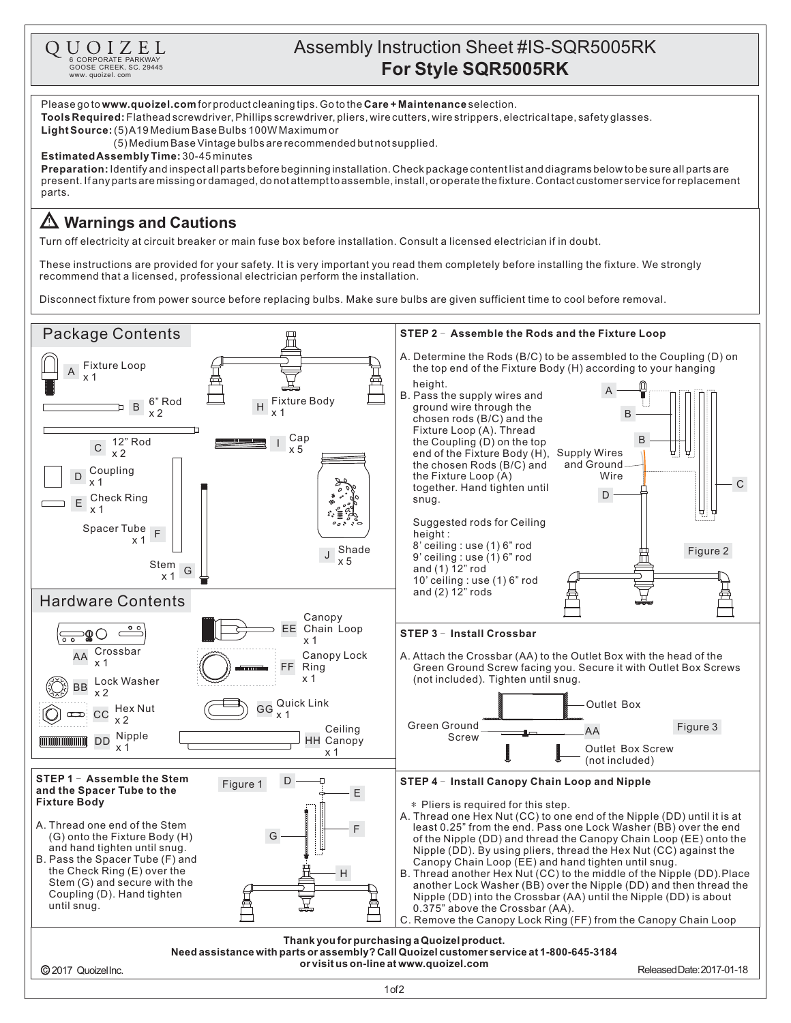

## Assembly Instruction Sheet #IS-SQR5005RK **Q U** O I Z E L<br> **E** CORPORATE PARKWAY<br> **For Style SQR5005RK**<br>
SURFORM CONDITIONS